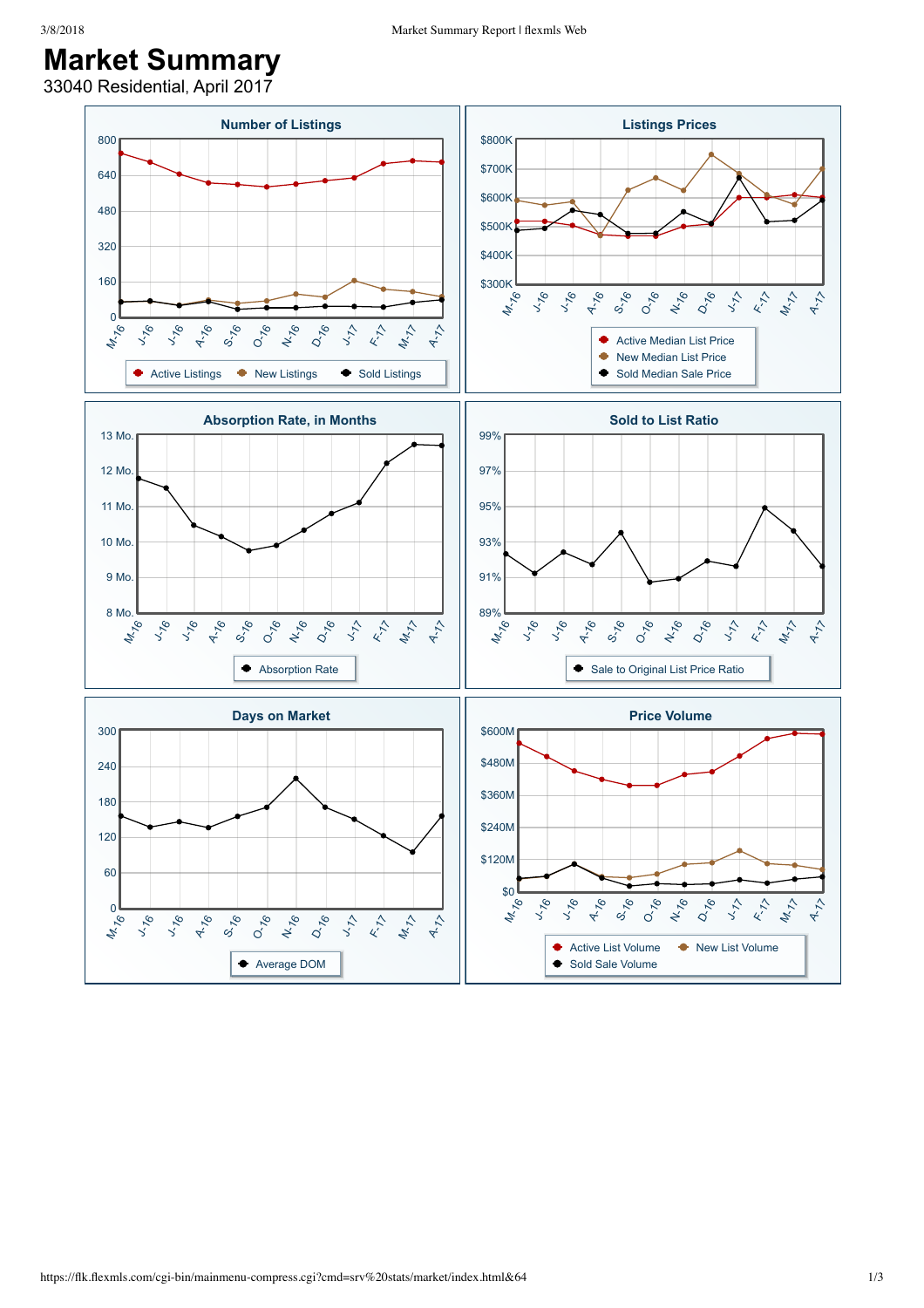## 3/8/2018 Market Summary Report | flexmls Web

## **Market Summary**

33040 Residential, April 2017

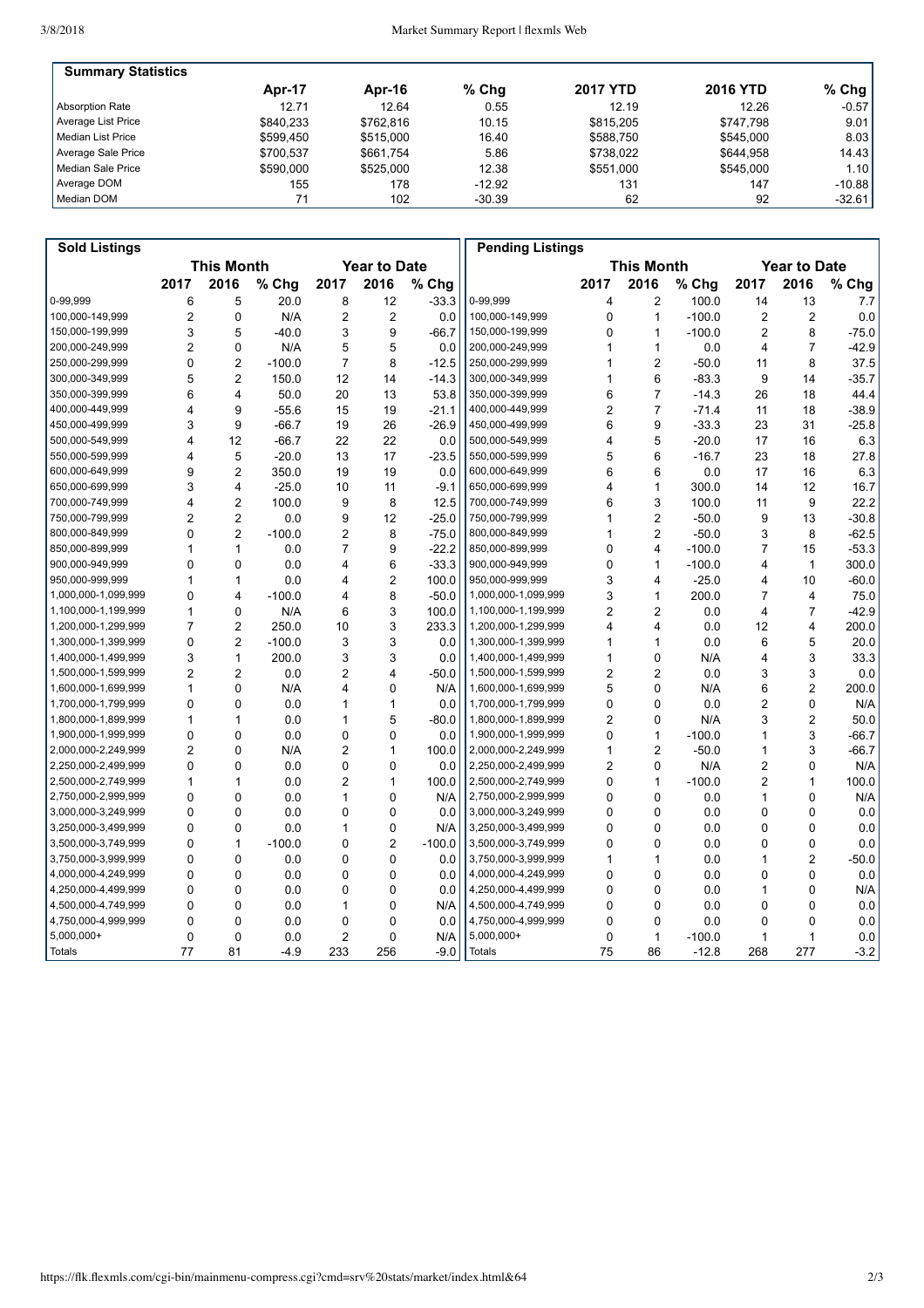| <b>Summary Statistics</b> |           |           |          |                 |                 |          |
|---------------------------|-----------|-----------|----------|-----------------|-----------------|----------|
|                           | Apr-17    | Apr-16    | $%$ Chg  | <b>2017 YTD</b> | <b>2016 YTD</b> | $%$ Chg  |
| Absorption Rate           | 12.71     | 12.64     | 0.55     | 12.19           | 12.26           | $-0.57$  |
| Average List Price        | \$840.233 | \$762.816 | 10.15    | \$815,205       | \$747.798       | 9.01     |
| Median List Price         | \$599.450 | \$515,000 | 16.40    | \$588.750       | \$545,000       | 8.03     |
| Average Sale Price        | \$700.537 | \$661.754 | 5.86     | \$738.022       | \$644.958       | 14.43    |
| Median Sale Price         | \$590,000 | \$525,000 | 12.38    | \$551,000       | \$545,000       | 1.101    |
| Average DOM               | 155       | 178       | $-12.92$ | 131             | 147             | $-10.88$ |
| Median DOM                | 71        | 102       | $-30.39$ | 62              | 92              | $-32.61$ |

| <b>Sold Listings</b> |                         |                         |          |                     |                         |          | <b>Pending Listings</b> |                |                         |          |                |                     |         |
|----------------------|-------------------------|-------------------------|----------|---------------------|-------------------------|----------|-------------------------|----------------|-------------------------|----------|----------------|---------------------|---------|
|                      | <b>This Month</b>       |                         |          | <b>Year to Date</b> |                         |          |                         |                | <b>This Month</b>       |          |                | <b>Year to Date</b> |         |
|                      | 2017                    | 2016                    | % Chg    | 2017                | 2016                    | % Chg    |                         | 2017           | 2016                    | % Chg    | 2017           | 2016                | % Chg   |
| 0-99.999             | 6                       | 5                       | 20.0     | 8                   | 12                      | $-33.3$  | 0-99,999                | 4              | $\overline{2}$          | 100.0    | 14             | 13                  | 7.7     |
| 100,000-149,999      | $\overline{2}$          | $\mathbf 0$             | N/A      | $\overline{c}$      | $\overline{2}$          | 0.0      | 100,000-149,999         | 0              | $\mathbf{1}$            | $-100.0$ | 2              | $\overline{c}$      | 0.0     |
| 150,000-199,999      | 3                       | 5                       | $-40.0$  | 3                   | 9                       | $-66.7$  | 150,000-199,999         | 0              | $\mathbf{1}$            | $-100.0$ | $\overline{2}$ | 8                   | $-75.0$ |
| 200,000-249,999      | $\overline{2}$          | $\mathbf 0$             | N/A      | 5                   | 5                       | 0.0      | 200,000-249,999         | 1              | 1                       | 0.0      | $\overline{4}$ | $\overline{7}$      | $-42.9$ |
| 250,000-299,999      | 0                       | 2                       | $-100.0$ | $\overline{7}$      | 8                       | $-12.5$  | 250,000-299,999         | 1              | 2                       | $-50.0$  | 11             | 8                   | 37.5    |
| 300,000-349,999      | 5                       | $\overline{2}$          | 150.0    | 12                  | 14                      | $-14.3$  | 300,000-349,999         | 1              | 6                       | $-83.3$  | 9              | 14                  | $-35.7$ |
| 350,000-399,999      | 6                       | $\overline{4}$          | 50.0     | 20                  | 13                      | 53.8     | 350,000-399,999         | 6              | $\overline{7}$          | $-14.3$  | 26             | 18                  | 44.4    |
| 400,000-449,999      | 4                       | 9                       | $-55.6$  | 15                  | 19                      | $-21.1$  | 400,000-449,999         | $\overline{2}$ | $\overline{7}$          | $-71.4$  | 11             | 18                  | $-38.9$ |
| 450,000-499,999      | 3                       | 9                       | $-66.7$  | 19                  | 26                      | $-26.9$  | 450,000-499,999         | 6              | 9                       | $-33.3$  | 23             | 31                  | $-25.8$ |
| 500,000-549,999      | $\overline{4}$          | 12                      | $-66.7$  | 22                  | 22                      | 0.0      | 500,000-549,999         | 4              | 5                       | $-20.0$  | 17             | 16                  | 6.3     |
| 550,000-599,999      | 4                       | 5                       | $-20.0$  | 13                  | 17                      | $-23.5$  | 550,000-599,999         | 5              | 6                       | $-16.7$  | 23             | 18                  | 27.8    |
| 600,000-649,999      | 9                       | $\overline{2}$          | 350.0    | 19                  | 19                      | 0.0      | 600,000-649,999         | 6              | 6                       | 0.0      | 17             | 16                  | 6.3     |
| 650,000-699,999      | 3                       | $\overline{4}$          | $-25.0$  | 10                  | 11                      | $-9.1$   | 650,000-699,999         | 4              | 1                       | 300.0    | 14             | 12                  | 16.7    |
| 700.000-749.999      | $\overline{\mathbf{4}}$ | $\overline{2}$          | 100.0    | 9                   | 8                       | 12.5     | 700,000-749,999         | 6              | 3                       | 100.0    | 11             | 9                   | 22.2    |
| 750,000-799,999      | $\overline{2}$          | $\overline{2}$          | 0.0      | 9                   | 12                      | $-25.0$  | 750,000-799,999         | 1              | $\overline{2}$          | $-50.0$  | 9              | 13                  | $-30.8$ |
| 800,000-849,999      | $\mathbf 0$             | $\overline{2}$          | $-100.0$ | $\overline{c}$      | 8                       | $-75.0$  | 800,000-849,999         | 1              | $\overline{2}$          | $-50.0$  | 3              | 8                   | $-62.5$ |
| 850,000-899,999      | $\mathbf{1}$            | $\mathbf{1}$            | 0.0      | $\overline{7}$      | 9                       | $-22.2$  | 850,000-899,999         | 0              | $\overline{\mathbf{4}}$ | $-100.0$ | $\overline{7}$ | 15                  | $-53.3$ |
| 900,000-949,999      | 0                       | $\mathbf 0$             | 0.0      | 4                   | 6                       | $-33.3$  | 900,000-949,999         | 0              | 1                       | $-100.0$ | 4              | $\mathbf{1}$        | 300.0   |
| 950,000-999,999      | 1                       | 1                       | 0.0      | 4                   | $\overline{2}$          | 100.0    | 950,000-999,999         | 3              | $\overline{\mathbf{4}}$ | $-25.0$  | 4              | 10                  | $-60.0$ |
| 1,000,000-1,099,999  | 0                       | $\overline{\mathbf{4}}$ | $-100.0$ | 4                   | 8                       | $-50.0$  | 1,000,000-1,099,999     | 3              | 1                       | 200.0    | 7              | 4                   | 75.0    |
| 1,100,000-1,199,999  | $\mathbf{1}$            | $\mathbf 0$             | N/A      | 6                   | 3                       | 100.0    | 1,100,000-1,199,999     | $\overline{2}$ | $\overline{2}$          | 0.0      | $\overline{4}$ | $\overline{7}$      | $-42.9$ |
| 1,200,000-1,299,999  | $\overline{7}$          | $\overline{2}$          | 250.0    | 10                  | 3                       | 233.3    | 1,200,000-1,299,999     | 4              | 4                       | 0.0      | 12             | $\overline{4}$      | 200.0   |
| 1,300,000-1,399,999  | $\Omega$                | $\overline{2}$          | $-100.0$ | 3                   | 3                       | 0.0      | 1,300,000-1,399,999     | 1              | 1                       | 0.0      | 6              | 5                   | 20.0    |
| 1,400,000-1,499,999  | 3                       | $\mathbf{1}$            | 200.0    | 3                   | 3                       | 0.0      | 1,400,000-1,499,999     | 1              | 0                       | N/A      | 4              | 3                   | 33.3    |
| 1,500,000-1,599,999  | $\overline{2}$          | $\overline{2}$          | 0.0      | $\overline{2}$      | $\overline{\mathbf{4}}$ | $-50.0$  | 1,500,000-1,599,999     | $\overline{2}$ | $\overline{2}$          | 0.0      | 3              | 3                   | 0.0     |
| 1,600,000-1,699,999  | 1                       | $\Omega$                | N/A      | 4                   | 0                       | N/A      | 1,600,000-1,699,999     | 5              | $\Omega$                | N/A      | 6              | $\overline{2}$      | 200.0   |
| 1,700,000-1,799,999  | 0                       | $\mathbf 0$             | 0.0      | 1                   | $\mathbf{1}$            | 0.0      | 1,700,000-1,799,999     | 0              | 0                       | 0.0      | $\overline{2}$ | 0                   | N/A     |
| 1,800,000-1,899,999  | $\mathbf{1}$            | $\mathbf{1}$            | 0.0      | 1                   | 5                       | $-80.0$  | 1,800,000-1,899,999     | $\overline{2}$ | $\mathbf{0}$            | N/A      | 3              | $\overline{c}$      | 50.0    |
| 1,900,000-1,999,999  | $\Omega$                | $\Omega$                | 0.0      | 0                   | $\Omega$                | 0.0      | 1,900,000-1,999,999     | $\Omega$       | $\mathbf{1}$            | $-100.0$ | 1              | 3                   | $-66.7$ |
| 2,000,000-2,249,999  | $\overline{2}$          | $\mathbf 0$             | N/A      | $\overline{2}$      | $\mathbf{1}$            | 100.0    | 2,000,000-2,249,999     | 1              | $\overline{2}$          | $-50.0$  | 1              | 3                   | $-66.7$ |
| 2,250,000-2,499,999  | $\Omega$                | $\Omega$                | 0.0      | 0                   | $\mathbf{0}$            | 0.0      | 2,250,000-2,499,999     | $\overline{2}$ | $\mathbf{0}$            | N/A      | $\overline{2}$ | $\mathbf{0}$        | N/A     |
| 2,500,000-2,749,999  | 1                       | 1                       | 0.0      | $\overline{2}$      | $\mathbf{1}$            | 100.0    | 2,500,000-2,749,999     | 0              | 1                       | $-100.0$ | $\overline{2}$ | $\mathbf{1}$        | 100.0   |
| 2,750,000-2,999,999  | 0                       | $\mathbf 0$             | 0.0      | 1                   | $\mathbf 0$             | N/A      | 2,750,000-2,999,999     | 0              | 0                       | 0.0      | $\mathbf{1}$   | 0                   | N/A     |
| 3,000,000-3,249,999  | $\Omega$                | $\Omega$                | 0.0      | 0                   | $\Omega$                | 0.0      | 3,000,000-3,249,999     | $\Omega$       | $\Omega$                | 0.0      | $\Omega$       | $\mathbf{0}$        | 0.0     |
| 3,250,000-3,499,999  | $\Omega$                | $\mathbf 0$             | 0.0      | 1                   | $\mathbf 0$             | N/A      | 3,250,000-3,499,999     | 0              | 0                       | 0.0      | 0              | 0                   | 0.0     |
| 3,500,000-3,749,999  | 0                       | 1                       | $-100.0$ | 0                   | $\overline{2}$          | $-100.0$ | 3,500,000-3,749,999     | 0              | 0                       | 0.0      | 0              | 0                   | 0.0     |
| 3,750,000-3,999,999  | $\Omega$                | $\Omega$                | 0.0      | 0                   | $\Omega$                | 0.0      | 3,750,000-3,999,999     | 1              | 1                       | 0.0      | 1              | $\overline{2}$      | $-50.0$ |
| 4,000,000-4,249,999  | 0                       | $\Omega$                | 0.0      | 0                   | $\Omega$                | 0.0      | 4,000,000-4,249,999     | 0              | 0                       | 0.0      | 0              | $\mathbf 0$         | 0.0     |
| 4,250,000-4,499,999  | 0                       | $\mathbf 0$             | 0.0      | 0                   | $\mathbf 0$             | 0.0      | 4,250,000-4,499,999     | 0              | 0                       | 0.0      | 1              | 0                   | N/A     |
| 4,500,000-4,749,999  | 0                       | $\mathbf 0$             | 0.0      | 1                   | $\mathbf 0$             | N/A      | 4,500,000-4,749,999     | 0              | $\Omega$                | 0.0      | 0              | $\Omega$            | 0.0     |
| 4,750,000-4,999,999  | 0                       | $\Omega$                | 0.0      | 0                   | $\Omega$                | 0.0      | 4,750,000-4,999,999     | 0              | 0                       | 0.0      | $\Omega$       | 0                   | 0.0     |
| 5,000,000+           | 0                       | $\mathbf 0$             | 0.0      | $\overline{c}$      | $\mathbf 0$             | N/A      | $5,000,000+$            | 0              | $\mathbf{1}$            | $-100.0$ | $\mathbf{1}$   | $\mathbf{1}$        | 0.0     |
| Totals               | 77                      | 81                      | $-4.9$   | 233                 | 256                     | $-9.0$   | Totals                  | 75             | 86                      | $-12.8$  | 268            | 277                 | $-3.2$  |